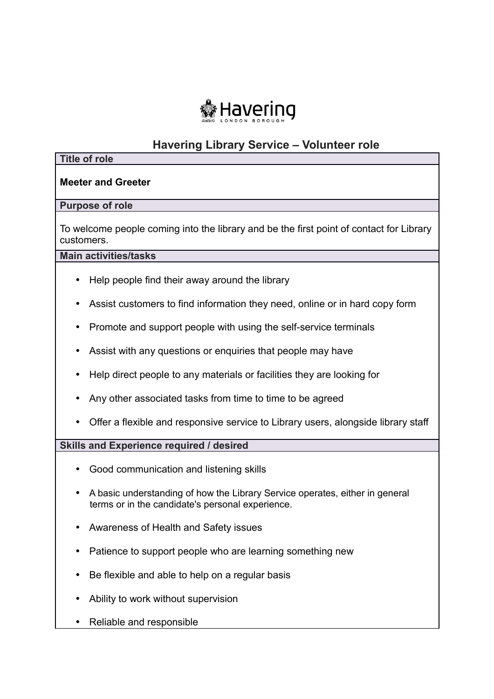

# **Havering Library Service – Volunteer role**

#### **Title of role**

# **Meeter and Greeter**

### **Purpose of role**

 To welcome people coming into the library and be the first point of contact for Library customers.

#### **Main activities/tasks**

- Help people find their away around the library
- Assist customers to find information they need, online or in hard copy form
- Promote and support people with using the self-service terminals
- Assist with any questions or enquiries that people may have
- Help direct people to any materials or facilities they are looking for
- Any other associated tasks from time to time to be agreed
- Offer a flexible and responsive service to Library users, alongside library staff

# **Skills and Experience required / desired**

- Good communication and listening skills
- A basic understanding of how the Library Service operates, either in general terms or in the candidate's personal experience.
- Awareness of Health and Safety issues
- Patience to support people who are learning something new
- Be flexible and able to help on a regular basis
- Ability to work without supervision
- Reliable and responsible